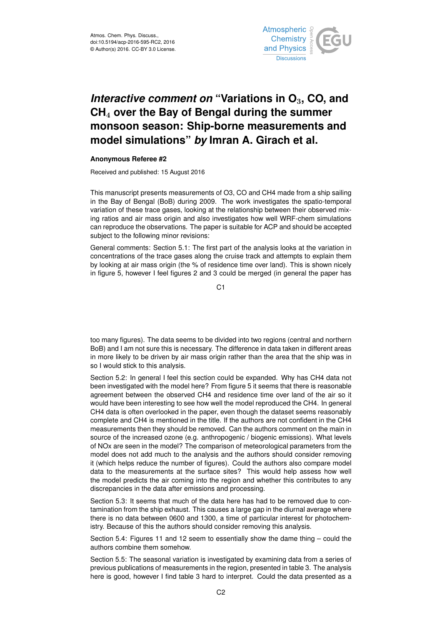

## *Interactive comment on* **"Variations in O**3**, CO, and CH**<sup>4</sup> **over the Bay of Bengal during the summer monsoon season: Ship-borne measurements and model simulations"** *by* **Imran A. Girach et al.**

## **Anonymous Referee #2**

Received and published: 15 August 2016

This manuscript presents measurements of O3, CO and CH4 made from a ship sailing in the Bay of Bengal (BoB) during 2009. The work investigates the spatio-temporal variation of these trace gases, looking at the relationship between their observed mixing ratios and air mass origin and also investigates how well WRF-chem simulations can reproduce the observations. The paper is suitable for ACP and should be accepted subject to the following minor revisions:

General comments: Section 5.1: The first part of the analysis looks at the variation in concentrations of the trace gases along the cruise track and attempts to explain them by looking at air mass origin (the % of residence time over land). This is shown nicely in figure 5, however I feel figures 2 and 3 could be merged (in general the paper has

C1

too many figures). The data seems to be divided into two regions (central and northern BoB) and I am not sure this is necessary. The difference in data taken in different areas in more likely to be driven by air mass origin rather than the area that the ship was in so I would stick to this analysis.

Section 5.2: In general I feel this section could be expanded. Why has CH4 data not been investigated with the model here? From figure 5 it seems that there is reasonable agreement between the observed CH4 and residence time over land of the air so it would have been interesting to see how well the model reproduced the CH4. In general CH4 data is often overlooked in the paper, even though the dataset seems reasonably complete and CH4 is mentioned in the title. If the authors are not confident in the CH4 measurements then they should be removed. Can the authors comment on the main in source of the increased ozone (e.g. anthropogenic / biogenic emissions). What levels of NOx are seen in the model? The comparison of meteorological parameters from the model does not add much to the analysis and the authors should consider removing it (which helps reduce the number of figures). Could the authors also compare model data to the measurements at the surface sites? This would help assess how well the model predicts the air coming into the region and whether this contributes to any discrepancies in the data after emissions and processing.

Section 5.3: It seems that much of the data here has had to be removed due to contamination from the ship exhaust. This causes a large gap in the diurnal average where there is no data between 0600 and 1300, a time of particular interest for photochemistry. Because of this the authors should consider removing this analysis.

Section 5.4: Figures 11 and 12 seem to essentially show the dame thing – could the authors combine them somehow.

Section 5.5: The seasonal variation is investigated by examining data from a series of previous publications of measurements in the region, presented in table 3. The analysis here is good, however I find table 3 hard to interpret. Could the data presented as a